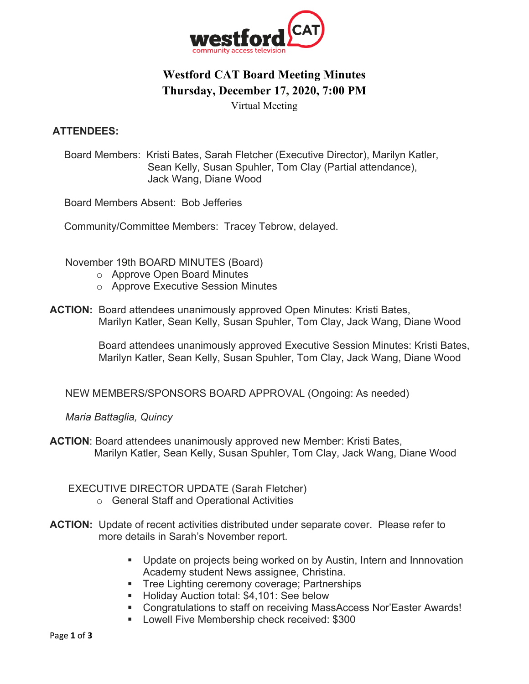

# **Westford CAT Board Meeting Minutes Thursday, December 17, 2020, 7:00 PM**

Virtual Meeting

#### **ATTENDEES:**

Board Members: Kristi Bates, Sarah Fletcher (Executive Director), Marilyn Katler, Sean Kelly, Susan Spuhler, Tom Clay (Partial attendance), Jack Wang, Diane Wood

Board Members Absent: Bob Jefferies

Community/Committee Members: Tracey Tebrow, delayed.

November 19th BOARD MINUTES (Board)

- o Approve Open Board Minutes
- o Approve Executive Session Minutes
- **ACTION:** Board attendees unanimously approved Open Minutes: Kristi Bates, Marilyn Katler, Sean Kelly, Susan Spuhler, Tom Clay, Jack Wang, Diane Wood

 Board attendees unanimously approved Executive Session Minutes: Kristi Bates, Marilyn Katler, Sean Kelly, Susan Spuhler, Tom Clay, Jack Wang, Diane Wood

NEW MEMBERS/SPONSORS BOARD APPROVAL (Ongoing: As needed)

*Maria Battaglia, Quincy*

**ACTION**: Board attendees unanimously approved new Member: Kristi Bates, Marilyn Katler, Sean Kelly, Susan Spuhler, Tom Clay, Jack Wang, Diane Wood

EXECUTIVE DIRECTOR UPDATE (Sarah Fletcher)

- o General Staff and Operational Activities
- **ACTION:** Update of recent activities distributed under separate cover. Please refer to more details in Sarah's November report.
	- Update on projects being worked on by Austin, Intern and Innnovation Academy student News assignee, Christina.
	- **•** Tree Lighting ceremony coverage; Partnerships
	- Holiday Auction total: \$4,101: See below
	- Congratulations to staff on receiving MassAccess Nor'Easter Awards!
	- Lowell Five Membership check received: \$300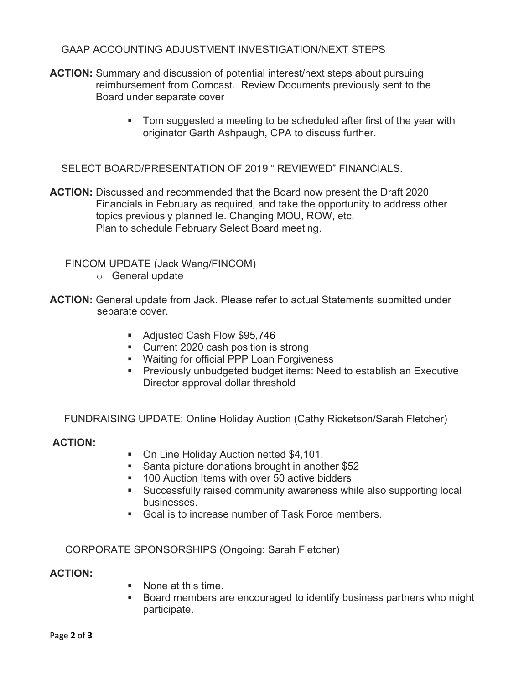## GAAP ACCOUNTING ADJUSTMENT INVESTIGATION/NEXT STEPS

- **ACTION:** Summary and discussion of potential interest/next steps about pursuing reimbursement from Comcast. Review Documents previously sent to the Board under separate cover
	- Tom suggested a meeting to be scheduled after first of the year with originator Garth Ashpaugh, CPA to discuss further.

SELECT BOARD/PRESENTATION OF 2019 " REVIEWED" FINANCIALS.

**ACTION:** Discussed and recommended that the Board now present the Draft 2020 Financials in February as required, and take the opportunity to address other topics previously planned Ie. Changing MOU, ROW, etc. Plan to schedule February Select Board meeting.

FINCOM UPDATE (Jack Wang/FINCOM)

- o General update
- **ACTION:** General update from Jack. Please refer to actual Statements submitted under separate cover.
	- Adjusted Cash Flow \$95,746
	- Current 2020 cash position is strong
	- Waiting for official PPP Loan Forgiveness
	- § Previously unbudgeted budget items: Need to establish an Executive Director approval dollar threshold

FUNDRAISING UPDATE: Online Holiday Auction (Cathy Ricketson/Sarah Fletcher)

## **ACTION:**

- On Line Holiday Auction netted \$4,101.
- Santa picture donations brought in another \$52
- 100 Auction Items with over 50 active bidders
- Successfully raised community awareness while also supporting local businesses.
- Goal is to increase number of Task Force members.

CORPORATE SPONSORSHIPS (Ongoing: Sarah Fletcher)

#### **ACTION:**

- None at this time.
- § Board members are encouraged to identify business partners who might participate.